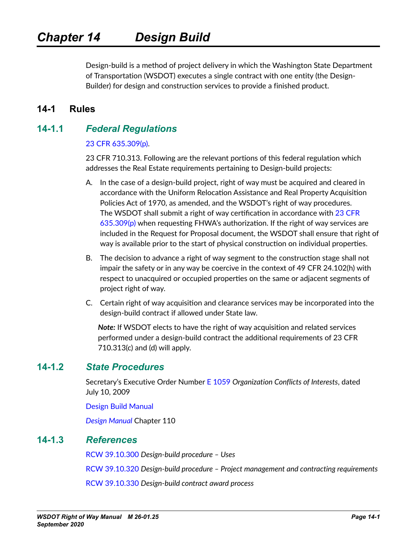Design-build is a method of project delivery in which the Washington State Department of Transportation (WSDOT) executes a single contract with one entity (the Design-Builder) for design and construction services to provide a finished product.

## **14-1 Rules**

## **14-1.1** *Federal Regulations*

#### [23 CFR 635.309\(p\)](https://www.ecfr.gov/cgi-bin/text-idx?SID=152f21c8713f4b651841d2beae29b57a&mc=true&node=pt23.1.635&rgn=div5#se23.1.635_1309).

23 CFR 710.313. Following are the relevant portions of this federal regulation which addresses the Real Estate requirements pertaining to Design-build projects:

- A. In the case of a design-build project, right of way must be acquired and cleared in accordance with the Uniform Relocation Assistance and Real Property Acquisition Policies Act of 1970, as amended, and the WSDOT's right of way procedures. The WSDOT shall submit a right of way certification in accordance with 23 CFR  $635.309(p)$  when requesting FHWA's authorization. If the right of way services are included in the Request for Proposal document, the WSDOT shall ensure that right of way is available prior to the start of physical construction on individual properties.
- B. The decision to advance a right of way segment to the construction stage shall not impair the safety or in any way be coercive in the context of 49 CFR 24.102(h) with respect to unacquired or occupied properties on the same or adjacent segments of project right of way.
- C. Certain right of way acquisition and clearance services may be incorporated into the design-build contract if allowed under State law.

*Note:* If WSDOT elects to have the right of way acquisition and related services performed under a design-build contract the additional requirements of 23 CFR 710.313(c) and (d) will apply.

### **14-1.2** *State Procedures*

Secretary's Executive Order Number [E 1059](http://wwwi.wsdot.wa.gov/publications/policies/fulltext/1059.pdf) *Organization Conflicts of Interests*, dated July 10, 2009

[Design Build Manual](https://www.wsdot.wa.gov/publications/manuals/fulltext/M3126/DBM.pdf)

*[Design Manual](https://www.wsdot.wa.gov/publications/manuals/fulltext/M22-01/110.pdf)* Chapter 110

### **14-1.3** *References*

[RCW 39.10.300](http://apps.leg.wa.gov/RCW/default.aspx?cite=39.10.300) *Design-build procedure – Uses*

[RCW 39.10.320](http://apps.leg.wa.gov/RCW/default.aspx?cite=39.10.320) *Design-build procedure – Project management and contracting requirements*

[RCW 39.10.330](http://apps.leg.wa.gov/RCW/default.aspx?cite=39.10.330) *Design-build contract award process*